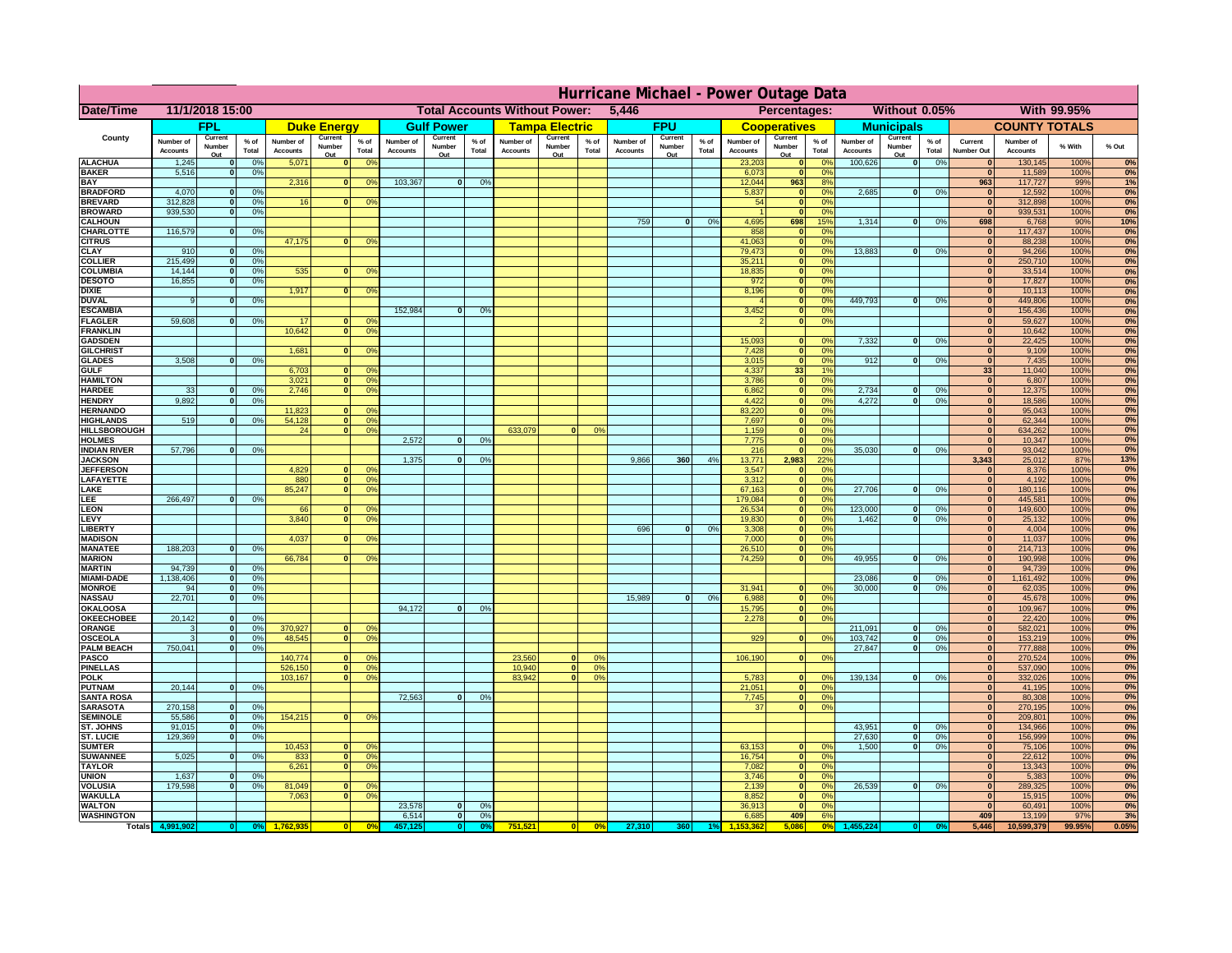|                                       | Hurricane Michael - Power Outage Data |                              |                      |                              |                     |                                                                    |                              |                    |                |                              |                                              |                 |                              |                   |                 |                              |                           |                      |                              |                               |                 |                                  |                              |              |           |
|---------------------------------------|---------------------------------------|------------------------------|----------------------|------------------------------|---------------------|--------------------------------------------------------------------|------------------------------|--------------------|----------------|------------------------------|----------------------------------------------|-----------------|------------------------------|-------------------|-----------------|------------------------------|---------------------------|----------------------|------------------------------|-------------------------------|-----------------|----------------------------------|------------------------------|--------------|-----------|
| Date/Time                             | 11/1/2018 15:00                       |                              |                      |                              |                     | <b>Total Accounts Without Power:</b><br>5,446                      |                              |                    |                |                              | Without 0.05%<br>With 99.95%<br>Percentages: |                 |                              |                   |                 |                              |                           |                      |                              |                               |                 |                                  |                              |              |           |
|                                       |                                       | FPL                          |                      |                              | <b>Duke Energy</b>  |                                                                    |                              | <b>Gulf Power</b>  |                |                              | <b>Tampa Electric</b>                        |                 |                              | <b>FPU</b>        |                 |                              | <b>Cooperatives</b>       |                      |                              | <b>Municipals</b>             |                 |                                  | <b>COUNTY TOTALS</b>         |              |           |
| County                                | Number of<br><b>Accounts</b>          | Current<br>Number            | $%$ of<br>Total      | Number of<br><b>Accounts</b> | Current<br>Number   | $%$ of<br>Total                                                    | Number of<br><b>Accounts</b> | Current<br>Number  | % of<br>Total  | Number of<br><b>Accounts</b> | Current<br>Number                            | $%$ of<br>Total | Number of<br><b>Accounts</b> | Current<br>Number | $%$ of<br>Total | Number of<br><b>Accounts</b> | Current<br>Number         | $%$ of<br>Total      | Number of<br><b>Accounts</b> | Current<br>Number             | $%$ of<br>Total | Current<br><b>Number Out</b>     | Number of<br><b>Accounts</b> | % With       | % Out     |
| <b>ALACHUA</b>                        | 1,245                                 | Out<br>$\mathbf{0}$          | 0%                   | 5,071                        | Out<br>$\mathbf{0}$ | 0 <sup>9</sup>                                                     |                              | Out                |                |                              | Out                                          |                 |                              | Out               |                 | 23,203                       | Out<br> 0                 | 0%                   | 100,626                      | Out<br> 0                     | 0%              | $\bf{0}$                         | 130,145                      | 100%         | 0%        |
| <b>BAKER</b>                          | 5,516                                 | 0                            | 0%                   |                              |                     |                                                                    |                              |                    |                |                              |                                              |                 |                              |                   |                 | 6,073                        | 0                         | 0%                   |                              |                               |                 | 0                                | 11,589                       | 100%         | 0%        |
| <b>BAY</b><br><b>BRADFORD</b>         | 4,070                                 | $\mathbf{0}$                 | 0%                   | 2,316                        |                     | 0 <br>0 <sup>9</sup>                                               | 103,367                      | 0                  | 0%             |                              |                                              |                 |                              |                   |                 | 12,044<br>5,837              | 963<br> 0                 | 8%<br>0%             | 2,685                        | 0                             | 0%              | 963<br>$\mathbf{0}$              | 117,727<br>12,592            | 99%<br>100%  | 1%<br>0%  |
| <b>BREVARD</b>                        | 312,828                               | 0                            | 0%                   | 16                           | 0                   | 0 <sup>o</sup>                                                     |                              |                    |                |                              |                                              |                 |                              |                   |                 | 54                           | 0                         | 0%                   |                              |                               |                 | 0                                | 312,898                      | 100%         | 0%        |
| <b>BROWARD</b>                        | 939.530                               | 0                            | 0%                   |                              |                     |                                                                    |                              |                    |                |                              |                                              |                 |                              |                   |                 |                              | 0                         | 0%                   |                              |                               |                 | $\mathbf{0}$                     | 939,531                      | 100%         | 0%        |
| <b>CALHOUN</b><br>CHARLOTTE           | 116,579                               | 0                            | 0%                   |                              |                     |                                                                    |                              |                    |                |                              |                                              |                 | 759                          | $\mathbf{0}$      | 0%              | 4,695<br>858                 | 698<br> 0                 | 15%<br>0%            | 1,314                        | 0                             | 0%              | 698<br>$\bf{0}$                  | 6,768<br>117,437             | 90%<br>100%  | 10%<br>0% |
| <b>CITRUS</b>                         |                                       |                              |                      | 47,175                       | $\mathbf{0}$        | 0 <sup>o</sup>                                                     |                              |                    |                |                              |                                              |                 |                              |                   |                 | 41,063                       | 0                         | 0 <sup>9</sup>       |                              |                               |                 | $\bf{0}$                         | 88,238                       | 100%         | 0%        |
| <b>CLAY</b><br><b>COLLIER</b>         | 910<br>215,499                        | $\mathbf{0}$<br>$\mathbf{0}$ | 0%<br>0 <sup>9</sup> |                              |                     |                                                                    |                              |                    |                |                              |                                              |                 |                              |                   |                 | 79,473<br>35,211             | 0 <br> 0                  | 0 <sup>9</sup><br>0% | 13,883                       | $\mathbf{0}$                  | 0%              | $\bf{0}$<br>$\bf{0}$             | 94,266<br>250,710            | 100%<br>100% | 0%<br>0%  |
| <b>COLUMBIA</b>                       | 14,144                                | $\mathbf 0$                  | 0%                   | 535                          | $\mathbf{0}$        | 0 <sup>9</sup>                                                     |                              |                    |                |                              |                                              |                 |                              |                   |                 | 18,835                       | 0                         | 0%                   |                              |                               |                 | $\bf{0}$                         | 33,514                       | 100%         | 0%        |
| <b>DESOTO</b>                         | 16,855                                | $\mathbf{0}$                 | 0%                   |                              |                     |                                                                    |                              |                    |                |                              |                                              |                 |                              |                   |                 | 972                          | 0                         | 0%                   |                              |                               |                 | $\bf{0}$                         | 17,827                       | 100%         | 0%        |
| <b>DIXIE</b><br><b>DUVAL</b>          | 9                                     | $\Omega$                     | 0%                   | 1,917                        | $\Omega$            | 0 <sup>9</sup>                                                     |                              |                    |                |                              |                                              |                 |                              |                   |                 | 8,196                        | 0 <br> 0                  | 0%<br>0%             | 449.793                      | $\overline{\mathbf{0}}$       | 0%              | $\Omega$<br>$\Omega$             | 10,113<br>449,806            | 100%<br>100% | 0%<br>0%  |
| <b>ESCAMBIA</b>                       |                                       |                              |                      |                              |                     |                                                                    | 152,984                      | $\mathbf{0}$       | 0 <sup>9</sup> |                              |                                              |                 |                              |                   |                 | 3,452                        | 0                         | 0%                   |                              |                               |                 | $\Omega$                         | 156,436                      | 100%         | 0%        |
| <b>FLAGLER</b>                        | 59,608                                | $\overline{0}$               | 0%                   | 17                           | $\bf{0}$            | 0 <sup>o</sup>                                                     |                              |                    |                |                              |                                              |                 |                              |                   |                 |                              | 0                         | 0%                   |                              |                               |                 | $\bf{0}$                         | 59,627                       | 100%         | 0%        |
| <b>FRANKLIN</b><br><b>GADSDEN</b>     |                                       |                              |                      | 10,642                       | 0                   | 0 <sup>9</sup>                                                     |                              |                    |                |                              |                                              |                 |                              |                   |                 | 15,093                       | $\mathbf{0}$              | 0%                   | 7,332                        | 0                             | 0%              | $\overline{0}$<br>$\overline{0}$ | 10,642<br>22,425             | 100%<br>100% | 0%<br>0%  |
| <b>GILCHRIST</b>                      |                                       |                              |                      | 1,681                        | $\Omega$            | 0 <sup>9</sup>                                                     |                              |                    |                |                              |                                              |                 |                              |                   |                 | 7,428                        | 0                         | 0%                   |                              |                               |                 | $\overline{0}$                   | 9,109                        | 100%         | 0%        |
| <b>GLADES</b>                         | 3,508                                 | 0                            | 0%                   |                              |                     |                                                                    |                              |                    |                |                              |                                              |                 |                              |                   |                 | 3,015                        | $\overline{0}$            | 0%                   | 912                          | $\overline{0}$                | 0%              | 0                                | 7,435                        | 100%         | 0%        |
| <b>GULF</b><br><b>HAMILTON</b>        |                                       |                              |                      | 6,703<br>3,021               |                     | $\mathbf{0}$<br>0 <sup>9</sup><br>$\overline{0}$<br>0 <sup>9</sup> |                              |                    |                |                              |                                              |                 |                              |                   |                 | 4,337<br>3,786               | 33<br>$\overline{0}$      | 1%<br>0%             |                              |                               |                 | 33<br> 0                         | 11,040<br>6,807              | 100%<br>100% | 0%<br>0%  |
| <b>HARDEE</b>                         | 33                                    | $\overline{0}$               | 0%                   | 2.746                        | $\overline{0}$      | 0 <sup>9</sup>                                                     |                              |                    |                |                              |                                              |                 |                              |                   |                 | 6.862                        | 0                         | 0%                   | 2.734                        | $\mathbf{0}$                  | 0%              | 0                                | 12,375                       | 100%         | 0%        |
| <b>HENDRY</b>                         | 9,892                                 | $\Omega$                     | 0%                   |                              |                     |                                                                    |                              |                    |                |                              |                                              |                 |                              |                   |                 | 4,422                        | 0                         | 0%                   | 4,272                        | $\Omega$                      | 0%              | 0                                | 18,586                       | 100%         | 0%        |
| <b>HERNANDO</b><br><b>HIGHLANDS</b>   | 519                                   | $\mathbf{0}$                 | 0 <sup>9</sup>       | 11,823<br>54,128             | $\mathbf{0}$<br> 0  | 0 <sup>9</sup><br>0 <sup>9</sup>                                   |                              |                    |                |                              |                                              |                 |                              |                   |                 | 83,220<br>7,697              | 0 <br> 0                  | 0%<br>0%             |                              |                               |                 | 0 <br> 0                         | 95,043<br>62,344             | 100%<br>100% | 0%<br>0%  |
| <b>HILLSBOROUGH</b>                   |                                       |                              |                      | 24                           | 0                   | 0 <sup>9</sup>                                                     |                              |                    |                | 633,079                      |                                              | 0%              |                              |                   |                 | 1,159                        | 0                         | 0%                   |                              |                               |                 | 0                                | 634,262                      | 100%         | 0%        |
| <b>HOLMES</b>                         |                                       |                              |                      |                              |                     |                                                                    | 2.572                        | $\mathbf{0}$       | 0%             |                              |                                              |                 |                              |                   |                 | 7,775                        | 0                         | 0%                   |                              |                               |                 | 0                                | 10,347                       | 100%         | 0%        |
| <b>INDIAN RIVER</b><br><b>JACKSON</b> | 57,796                                | $\mathbf{0}$                 | 0%                   |                              |                     |                                                                    | 1.375                        | $\mathbf{0}$       | 0 <sup>9</sup> |                              |                                              |                 | 9.866                        | 360               | 4%              | 216<br>13.771                | 0 <br>2.983               | 0%<br>22%            | 35,030                       | $\mathbf{0}$                  | 0%              | 0 <br>3.343                      | 93,042<br>25,012             | 100%<br>87%  | 0%<br>13% |
| <b>JEFFERSON</b>                      |                                       |                              |                      | 4.829                        | n l                 | 0 <sup>9</sup>                                                     |                              |                    |                |                              |                                              |                 |                              |                   |                 | 3.547                        | 0                         | 0%                   |                              |                               |                 | 0                                | 8.376                        | 100%         | 0%        |
| LAFAYETTE                             |                                       |                              |                      | 880                          | 0                   | 0 <sup>9</sup>                                                     |                              |                    |                |                              |                                              |                 |                              |                   |                 | 3.312                        | 0                         | 0%                   |                              |                               |                 | 0                                | 4,192                        | 100%         | 0%        |
| LAKE<br>EE.                           | 266,497                               | $\Omega$                     | 0%                   | 85,247                       | $\mathbf{0}$        | 0 <sup>9</sup>                                                     |                              |                    |                |                              |                                              |                 |                              |                   |                 | 67,163<br>179,084            | 0 <br> 0                  | 0%<br>0%             | 27,706                       | $\Omega$                      | 0%              | 0 <br> 0                         | 180,116<br>445,581           | 100%<br>100% | 0%<br>0%  |
| LEON                                  |                                       |                              |                      | 66                           | $\mathbf{0}$        | 0 <sup>o</sup>                                                     |                              |                    |                |                              |                                              |                 |                              |                   |                 | 26,534                       | 0                         | 0%                   | 123,000                      | $\mathbf{0}$                  | 0%              | 0                                | 149,600                      | 100%         | 0%        |
| LEVY                                  |                                       |                              |                      | 3,840                        | $\Omega$            | 0 <sup>9</sup>                                                     |                              |                    |                |                              |                                              |                 |                              |                   |                 | 19,830                       | 0                         | 0%                   | 1,462                        | 0                             | 0%              | 0                                | 25,132                       | 100%         | 0%        |
| LIBERTY<br><b>MADISON</b>             |                                       |                              |                      | 4,037                        | $\Omega$            | 0 <sup>9</sup>                                                     |                              |                    |                |                              |                                              |                 | 696                          | $\Omega$          | 0%              | 3,308<br>7,000               | 0 <br> 0                  | 0%<br>0%             |                              |                               |                 | 0 <br> 0                         | 4,004<br>11,037              | 100%<br>100% | 0%<br>0%  |
| <b>MANATEE</b>                        | 188,203                               | 0                            | 0%                   |                              |                     |                                                                    |                              |                    |                |                              |                                              |                 |                              |                   |                 | 26,510                       | 0                         | 0%                   |                              |                               |                 | 0                                | 214,713                      | 100%         | 0%        |
| <b>MARION</b>                         |                                       |                              |                      | 66,784                       | $\Omega$            | 0 <sup>9</sup>                                                     |                              |                    |                |                              |                                              |                 |                              |                   |                 | 74,259                       | 0                         | 0%                   | 49,955                       | nl                            | 0%              | 0                                | 190,998                      | 100%         | 0%        |
| <b>MARTIN</b><br><b>MIAMI-DADE</b>    | 94,739<br>1,138,406                   | 0 <br> 0                     | 0%<br>0%             |                              |                     |                                                                    |                              |                    |                |                              |                                              |                 |                              |                   |                 |                              |                           |                      | 23,086                       | $\mathbf{0}$                  | 0%              | 0 <br> 0                         | 94,739<br>1,161,492          | 100%<br>100% | 0%<br>0%  |
| <b>MONROE</b>                         | 94                                    | 0                            | 0%                   |                              |                     |                                                                    |                              |                    |                |                              |                                              |                 |                              |                   |                 | 31,941                       | $\overline{0}$            | 0 <sup>9</sup>       | 30,000                       | 0                             | 0%              | 0                                | 62,035                       | 100%         | 0%        |
| <b>NASSAU</b>                         | 22,701                                | 0                            | 0%                   |                              |                     |                                                                    |                              |                    |                |                              |                                              |                 | 15,989                       | 0                 | 0%              | 6,988                        | 0                         | 0%                   |                              |                               |                 | 0                                | 45,678                       | 100%         | 0%        |
| <b>OKALOOSA</b><br><b>OKEECHOBEE</b>  | 20,142                                | 0                            | 0%                   |                              |                     |                                                                    | 94,172                       | $\mathbf{0}$       | 0%             |                              |                                              |                 |                              |                   |                 | 15,795<br>2,278              | 0 <br> 0                  | 0%<br>0%             |                              |                               |                 | 0 <br> 0                         | 109,967<br>22,420            | 100%<br>100% | 0%<br>0%  |
| ORANGE                                | 3                                     | 0                            | 0%                   | 370,927                      |                     | 0 <br>0 <sup>o</sup>                                               |                              |                    |                |                              |                                              |                 |                              |                   |                 |                              |                           |                      | 211,091                      | $\mathbf{0}$                  | 0%              | 0                                | 582,021                      | 100%         | 0%        |
| <b>OSCEOLA</b>                        | 3<br>750,041                          | 0                            | 0%                   | 48,545                       |                     | 0 <sup>9</sup><br> 0                                               |                              |                    |                |                              |                                              |                 |                              |                   |                 | 929                          | 0                         | 0%                   | 103,742                      | 0 <br>$\overline{\mathbf{0}}$ | 0%              | 0                                | 153,219                      | 100%         | 0%        |
| <b>PALM BEACH</b><br><b>PASCO</b>     |                                       | 0                            | 0%                   | 140,774                      | $\Omega$            | 0 <sup>9</sup>                                                     |                              |                    |                | 23,560                       | $\Omega$                                     | $^{\circ}$      |                              |                   |                 | 106,190                      | 0                         | 0%                   | 27,847                       |                               | 0%              | 0 <br> 0                         | 777,888<br>270,524           | 100%<br>100% | 0%<br>0%  |
| <b>PINELLAS</b>                       |                                       |                              |                      | 526,150                      |                     | 0 <sup>9</sup><br> 0                                               |                              |                    |                | 10,940                       | 0                                            | 0%              |                              |                   |                 |                              |                           |                      |                              |                               |                 | $\mathbf{0}$                     | 537,090                      | 100%         | 0%        |
| <b>POLK</b>                           |                                       |                              |                      | 103,167                      |                     | 0 <sup>9</sup><br> 0                                               |                              |                    |                | 83,942                       | $\mathbf{a}$                                 | 0%              |                              |                   |                 | 5,783                        | 0                         | $\Omega$             | 139,134                      | 0                             | 0%              | 0                                | 332,026                      | 100%         | 0%        |
| <b>PUTNAM</b><br><b>SANTA ROSA</b>    | 20,144                                | 0                            | 0%                   |                              |                     |                                                                    | 72,563                       | 0                  | 0%             |                              |                                              |                 |                              |                   |                 | 21,051<br>7,745              | $\ddot{\textbf{0}}$<br> 0 | 0%<br>0%             |                              |                               |                 | $\bf{0}$<br>$\mathbf{0}$         | 41,195<br>80,308             | 100%<br>100% | 0%<br>0%  |
| <b>SARASOTA</b>                       | 270,158                               | 0                            | 0%                   |                              |                     |                                                                    |                              |                    |                |                              |                                              |                 |                              |                   |                 | 37                           | 0                         | 0%                   |                              |                               |                 | $\mathbf{0}$                     | 270,195                      | 100%         | 0%        |
| <b>SEMINOLE</b>                       | 55,586                                | 0                            | 0%                   | 154,215                      |                     | $\mathbf{0}$<br>0 <sup>9</sup>                                     |                              |                    |                |                              |                                              |                 |                              |                   |                 |                              |                           |                      |                              |                               |                 | $\mathbf{0}$                     | 209,801                      | 100%         | 0%        |
| ST. JOHNS<br><b>ST. LUCIE</b>         | 91,015<br>129.369                     | 0 <br>$\overline{0}$         | 0%<br>0%             |                              |                     |                                                                    |                              |                    |                |                              |                                              |                 |                              |                   |                 |                              |                           |                      | 43,951<br>27.630             | -ol<br>- O I                  | 0%<br>0%        | 0 <br> 0                         | 134,966<br>156,999           | 100%<br>100% | 0%<br>0%  |
| <b>SUMTER</b>                         |                                       |                              |                      | 10,453                       | $\overline{0}$      | 0 <sup>9</sup>                                                     |                              |                    |                |                              |                                              |                 |                              |                   |                 | 63,153                       | 0                         | 0%                   | 1.500                        | 0                             | 0%              | 0                                | 75,106                       | 100%         | 0%        |
| <b>SUWANNEE</b>                       | 5,025                                 | 0                            | 0%                   | 833                          | 0                   | 0 <sup>o</sup>                                                     |                              |                    |                |                              |                                              |                 |                              |                   |                 | 16,754                       | 0                         | 0%                   |                              |                               |                 | $\mathbf{0}$                     | 22,612                       | 100%         | 0%        |
| <b>TAYLOR</b><br><b>UNION</b>         | 1,637                                 | $\mathbf{0}$                 | 0%                   | 6,261                        | 0                   | 0 <sup>9</sup>                                                     |                              |                    |                |                              |                                              |                 |                              |                   |                 | 7,082<br>3,746               | 0 <br> 0                  | 0%<br>0%             |                              |                               |                 | $\bf{0}$<br>$\bf{0}$             | 13,343<br>5,383              | 100%<br>100% | 0%<br>0%  |
| <b>VOLUSIA</b>                        | 179,598                               | 0                            | 0%                   | 81,049                       | $\mathbf{0}$        | $\mathbf{0}$                                                       |                              |                    |                |                              |                                              |                 |                              |                   |                 | 2,139                        | 0                         | 0%                   | 26,539                       | 0                             | 0%              | $\bf{0}$                         | 289,325                      | 100%         | 0%        |
| <b>WAKULLA</b>                        |                                       |                              |                      | 7,063                        | $\mathbf{0}$        | 0 <sup>9</sup>                                                     |                              |                    |                |                              |                                              |                 |                              |                   |                 | 8,852                        | 0                         | 0%                   |                              |                               |                 | $\mathbf{0}$                     | 15,915                       | 100%         | 0%        |
| <b>WALTON</b><br><b>WASHINGTON</b>    |                                       |                              |                      |                              |                     |                                                                    | 23,578<br>6,514              | $\mathbf{0}$<br> 0 | 0%<br>0%       |                              |                                              |                 |                              |                   |                 | 36,913<br>6,685              | 0 <br>409                 | 0%<br>6%             |                              |                               |                 | 0 <br>409                        | 60,491<br>13,199             | 100%<br>97%  | 0%<br>3%  |
| <b>Totals</b>                         |                                       |                              |                      |                              |                     | 0 <sup>6</sup>                                                     |                              | $\bullet$          |                | 751,521                      | 0                                            | 0%              | 27,310                       | 360               |                 |                              | 5,086                     | 0 <sup>9</sup>       |                              |                               |                 | 5,446                            | 10,599,379                   | 99.95%       | 0.05%     |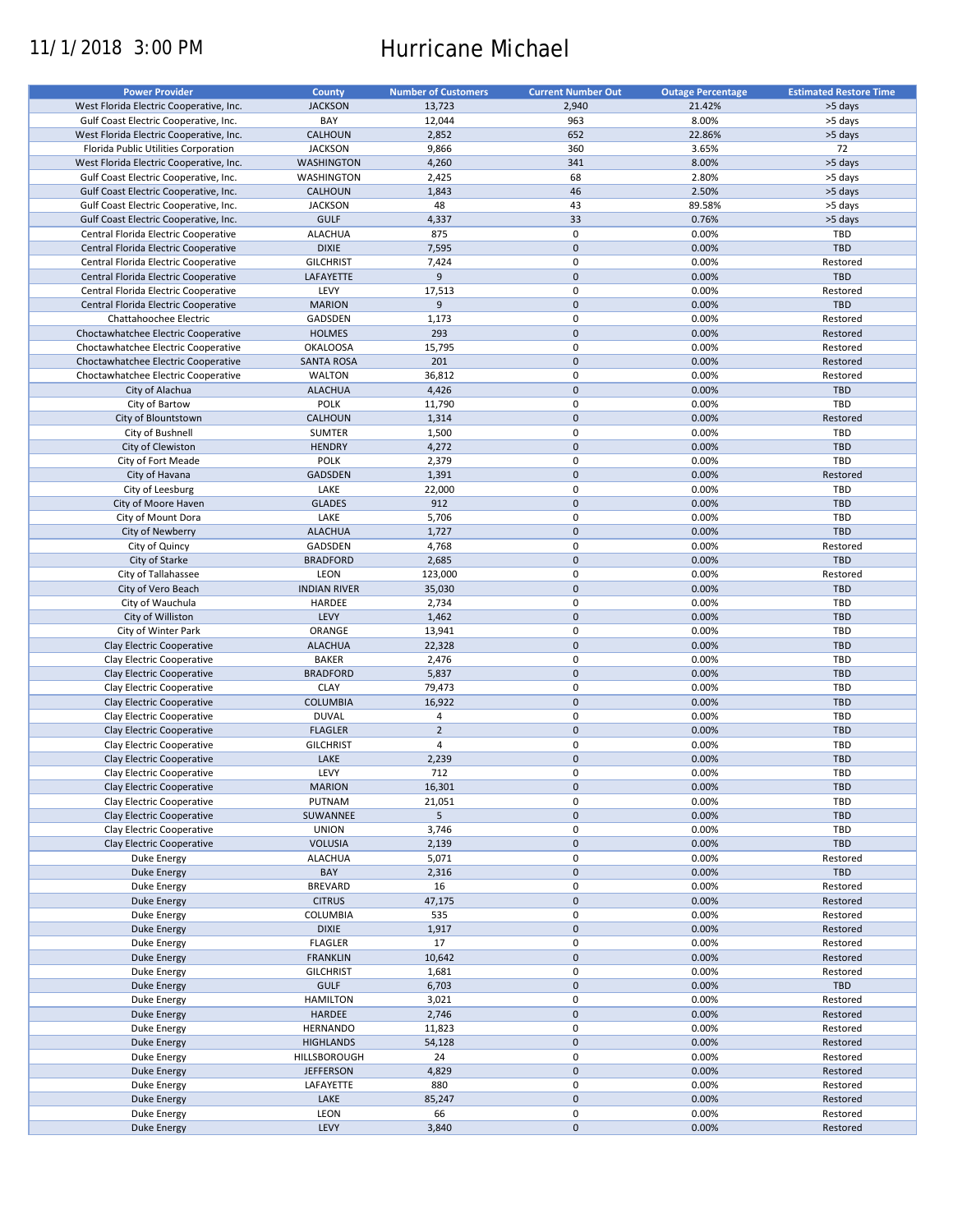# 11/1/2018 3:00 PM Hurricane Michael

| <b>Power Provider</b>                   | <b>County</b>       | <b>Number of Customers</b> | <b>Current Number Out</b> | <b>Outage Percentage</b> | <b>Estimated Restore Time</b> |
|-----------------------------------------|---------------------|----------------------------|---------------------------|--------------------------|-------------------------------|
| West Florida Electric Cooperative, Inc. | <b>JACKSON</b>      | 13,723                     | 2,940                     | 21.42%                   | >5 days                       |
|                                         |                     |                            |                           |                          |                               |
| Gulf Coast Electric Cooperative, Inc.   | BAY                 | 12,044                     | 963                       | 8.00%                    | >5 days                       |
| West Florida Electric Cooperative, Inc. | <b>CALHOUN</b>      | 2,852                      | 652                       | 22.86%                   | >5 days                       |
| Florida Public Utilities Corporation    | <b>JACKSON</b>      | 9,866                      | 360                       | 3.65%                    | 72                            |
| West Florida Electric Cooperative, Inc. | <b>WASHINGTON</b>   | 4,260                      | 341                       | 8.00%                    | >5 days                       |
| Gulf Coast Electric Cooperative, Inc.   | WASHINGTON          | 2,425                      | 68                        | 2.80%                    | >5 days                       |
| Gulf Coast Electric Cooperative, Inc.   | <b>CALHOUN</b>      | 1,843                      | 46                        | 2.50%                    | >5 days                       |
| Gulf Coast Electric Cooperative, Inc.   | <b>JACKSON</b>      | 48                         | 43                        | 89.58%                   | >5 days                       |
| Gulf Coast Electric Cooperative, Inc.   | <b>GULF</b>         | 4,337                      | 33                        | 0.76%                    | >5 days                       |
| Central Florida Electric Cooperative    | <b>ALACHUA</b>      | 875                        | 0                         | 0.00%                    | TBD                           |
| Central Florida Electric Cooperative    | <b>DIXIE</b>        | 7,595                      | $\mathbf 0$               | 0.00%                    | <b>TBD</b>                    |
|                                         | <b>GILCHRIST</b>    | 7,424                      | $\mathbf 0$               | 0.00%                    |                               |
| Central Florida Electric Cooperative    |                     |                            |                           |                          | Restored                      |
| Central Florida Electric Cooperative    | LAFAYETTE           | 9                          | $\mathbf 0$               | 0.00%                    | <b>TBD</b>                    |
| Central Florida Electric Cooperative    | LEVY                | 17,513                     | $\mathbf 0$               | 0.00%                    | Restored                      |
| Central Florida Electric Cooperative    | <b>MARION</b>       | 9                          | $\mathbf 0$               | 0.00%                    | TBD                           |
| Chattahoochee Electric                  | GADSDEN             | 1,173                      | $\mathbf 0$               | 0.00%                    | Restored                      |
| Choctawhatchee Electric Cooperative     | <b>HOLMES</b>       | 293                        | $\mathbf 0$               | 0.00%                    | Restored                      |
| Choctawhatchee Electric Cooperative     | <b>OKALOOSA</b>     | 15,795                     | $\mathbf 0$               | 0.00%                    | Restored                      |
| Choctawhatchee Electric Cooperative     | <b>SANTA ROSA</b>   | 201                        | $\mathbf 0$               | 0.00%                    | Restored                      |
| Choctawhatchee Electric Cooperative     | <b>WALTON</b>       | 36,812                     | $\mathbf 0$               | 0.00%                    | Restored                      |
| City of Alachua                         | <b>ALACHUA</b>      | 4,426                      | $\mathbf 0$               | 0.00%                    | TBD                           |
|                                         |                     |                            | $\mathbf 0$               |                          |                               |
| City of Bartow                          | <b>POLK</b>         | 11,790                     |                           | 0.00%                    | TBD                           |
| City of Blountstown                     | <b>CALHOUN</b>      | 1,314                      | $\mathbf 0$               | 0.00%                    | Restored                      |
| City of Bushnell                        | <b>SUMTER</b>       | 1,500                      | $\mathbf 0$               | 0.00%                    | <b>TBD</b>                    |
| City of Clewiston                       | <b>HENDRY</b>       | 4,272                      | $\pmb{0}$                 | 0.00%                    | TBD                           |
| City of Fort Meade                      | <b>POLK</b>         | 2,379                      | $\mathbf 0$               | 0.00%                    | TBD                           |
| City of Havana                          | GADSDEN             | 1,391                      | $\mathbf 0$               | 0.00%                    | Restored                      |
| City of Leesburg                        | LAKE                | 22,000                     | 0                         | 0.00%                    | <b>TBD</b>                    |
| City of Moore Haven                     | <b>GLADES</b>       | 912                        | $\mathbf 0$               | 0.00%                    | <b>TBD</b>                    |
| City of Mount Dora                      | LAKE                | 5,706                      | $\mathbf 0$               | 0.00%                    | TBD                           |
|                                         |                     |                            | $\mathbf 0$               |                          |                               |
| City of Newberry                        | <b>ALACHUA</b>      | 1,727                      |                           | 0.00%                    | <b>TBD</b>                    |
| City of Quincy                          | GADSDEN             | 4,768                      | 0                         | 0.00%                    | Restored                      |
| City of Starke                          | <b>BRADFORD</b>     | 2,685                      | $\mathbf 0$               | 0.00%                    | <b>TBD</b>                    |
| City of Tallahassee                     | LEON                | 123,000                    | $\mathbf 0$               | 0.00%                    | Restored                      |
| City of Vero Beach                      | <b>INDIAN RIVER</b> | 35,030                     | $\mathbf 0$               | 0.00%                    | <b>TBD</b>                    |
| City of Wauchula                        | HARDEE              | 2,734                      | 0                         | 0.00%                    | <b>TBD</b>                    |
| City of Williston                       | LEVY                | 1,462                      | $\mathbf 0$               | 0.00%                    | <b>TBD</b>                    |
| City of Winter Park                     | ORANGE              | 13,941                     | $\pmb{0}$                 | 0.00%                    | TBD                           |
| Clay Electric Cooperative               | <b>ALACHUA</b>      | 22,328                     | $\mathbf 0$               | 0.00%                    | <b>TBD</b>                    |
| Clay Electric Cooperative               | <b>BAKER</b>        | 2,476                      | 0                         | 0.00%                    | TBD                           |
|                                         |                     |                            |                           |                          |                               |
| Clay Electric Cooperative               | <b>BRADFORD</b>     | 5,837                      | $\mathbf 0$               | 0.00%                    | <b>TBD</b>                    |
| Clay Electric Cooperative               | <b>CLAY</b>         | 79,473                     | $\pmb{0}$                 | 0.00%                    | TBD                           |
| Clay Electric Cooperative               | <b>COLUMBIA</b>     | 16,922                     | $\mathbf 0$               | 0.00%                    | <b>TBD</b>                    |
| Clay Electric Cooperative               | <b>DUVAL</b>        | $\overline{4}$             | $\mathbf 0$               | 0.00%                    | TBD                           |
| Clay Electric Cooperative               | <b>FLAGLER</b>      | $\overline{2}$             | $\mathbf 0$               | 0.00%                    | <b>TBD</b>                    |
| Clay Electric Cooperative               | <b>GILCHRIST</b>    | $\overline{4}$             | 0                         | 0.00%                    | TBD                           |
| Clay Electric Cooperative               | LAKE                | 2,239                      | $\mathbf 0$               | 0.00%                    | <b>TBD</b>                    |
| Clay Electric Cooperative               | LEVY                | 712                        | $\mathbf 0$               | 0.00%                    | <b>TBD</b>                    |
| Clay Electric Cooperative               | <b>MARION</b>       | 16,301                     | $\pmb{0}$                 | 0.00%                    | TBD                           |
|                                         |                     |                            |                           |                          |                               |
| Clay Electric Cooperative               | PUTNAM              | 21,051                     | 0                         | 0.00%                    | TBD                           |
| Clay Electric Cooperative               | SUWANNEE            | 5                          | $\pmb{0}$                 | 0.00%                    | <b>TBD</b>                    |
| Clay Electric Cooperative               | <b>UNION</b>        | 3,746                      | 0                         | 0.00%                    | TBD                           |
| Clay Electric Cooperative               | <b>VOLUSIA</b>      | 2,139                      | $\pmb{0}$                 | 0.00%                    | TBD                           |
| Duke Energy                             | <b>ALACHUA</b>      | 5,071                      | $\pmb{0}$                 | 0.00%                    | Restored                      |
| <b>Duke Energy</b>                      | BAY                 | 2,316                      | $\pmb{0}$                 | 0.00%                    | TBD                           |
| Duke Energy                             | <b>BREVARD</b>      | 16                         | 0                         | 0.00%                    | Restored                      |
| <b>Duke Energy</b>                      | <b>CITRUS</b>       | 47,175                     | $\pmb{0}$                 | 0.00%                    | Restored                      |
| Duke Energy                             | <b>COLUMBIA</b>     | 535                        | 0                         | 0.00%                    | Restored                      |
| <b>Duke Energy</b>                      | <b>DIXIE</b>        | 1,917                      | $\pmb{0}$                 | 0.00%                    | Restored                      |
|                                         |                     |                            |                           |                          |                               |
| Duke Energy                             | <b>FLAGLER</b>      | 17                         | $\pmb{0}$                 | 0.00%                    | Restored                      |
| Duke Energy                             | <b>FRANKLIN</b>     | 10,642                     | $\pmb{0}$                 | 0.00%                    | Restored                      |
| Duke Energy                             | <b>GILCHRIST</b>    | 1,681                      | $\pmb{0}$                 | 0.00%                    | Restored                      |
| <b>Duke Energy</b>                      | <b>GULF</b>         | 6,703                      | $\pmb{0}$                 | 0.00%                    | TBD                           |
| Duke Energy                             | <b>HAMILTON</b>     | 3,021                      | $\pmb{0}$                 | 0.00%                    | Restored                      |
| <b>Duke Energy</b>                      | HARDEE              | 2,746                      | $\pmb{0}$                 | 0.00%                    | Restored                      |
| Duke Energy                             | <b>HERNANDO</b>     | 11,823                     | $\pmb{0}$                 | 0.00%                    | Restored                      |
| <b>Duke Energy</b>                      | <b>HIGHLANDS</b>    | 54,128                     | $\pmb{0}$                 | 0.00%                    | Restored                      |
| Duke Energy                             | HILLSBOROUGH        | 24                         | $\pmb{0}$                 | 0.00%                    | Restored                      |
|                                         |                     |                            | $\pmb{0}$                 |                          |                               |
| <b>Duke Energy</b>                      | <b>JEFFERSON</b>    | 4,829                      |                           | 0.00%                    | Restored                      |
| Duke Energy                             | LAFAYETTE           | 880                        | $\mathbf 0$               | 0.00%                    | Restored                      |
| <b>Duke Energy</b>                      | LAKE                | 85,247                     | $\pmb{0}$                 | 0.00%                    | Restored                      |
| Duke Energy                             | LEON                | 66                         | $\pmb{0}$                 | 0.00%                    | Restored                      |
| <b>Duke Energy</b>                      | LEVY                | 3,840                      | $\pmb{0}$                 | 0.00%                    | Restored                      |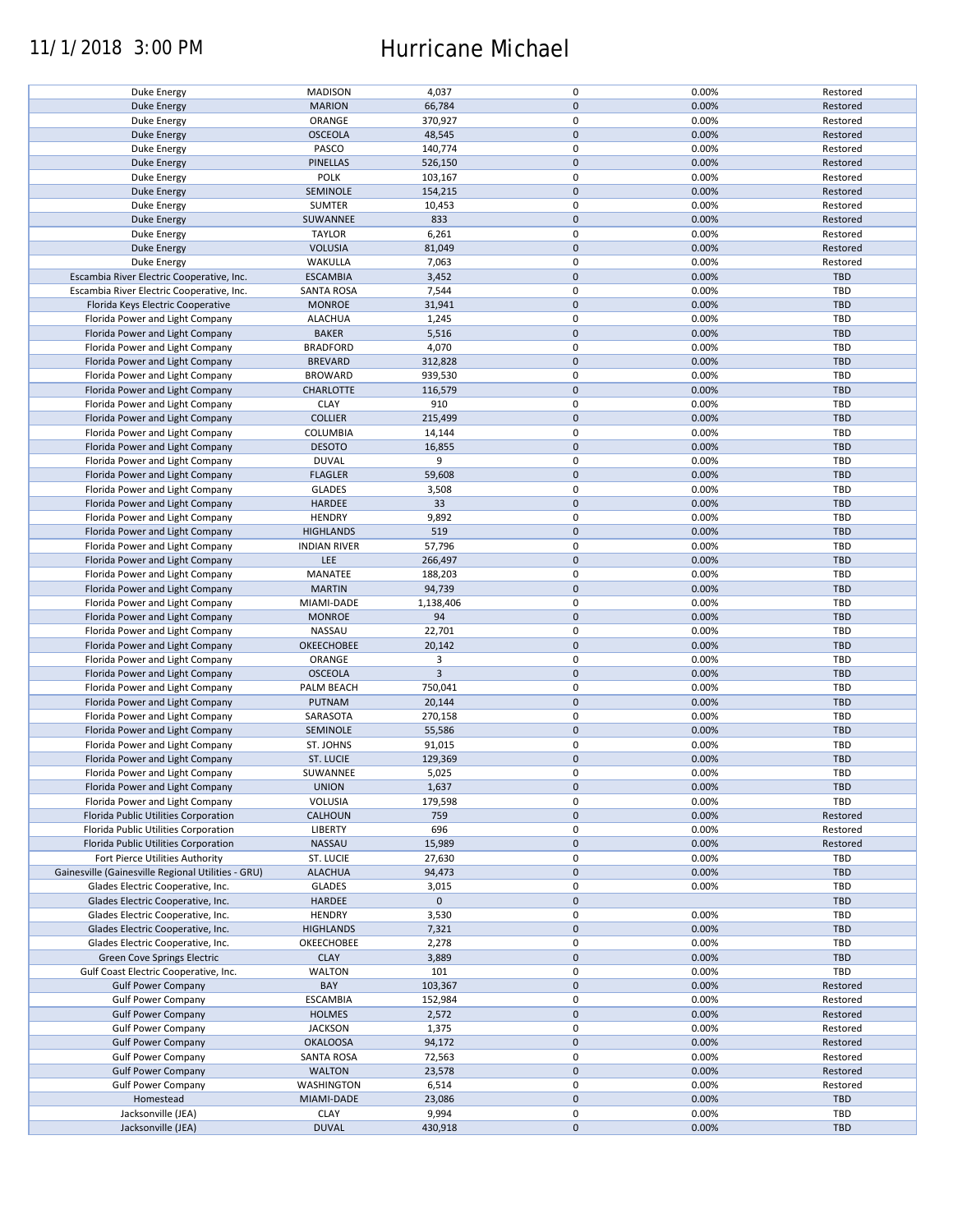## 11/1/2018 3:00 PM Hurricane Michael

| Duke Energy                                        | <b>MADISON</b>      | 4,037          | 0                   | 0.00% | Restored   |
|----------------------------------------------------|---------------------|----------------|---------------------|-------|------------|
| Duke Energy                                        | <b>MARION</b>       | 66,784         | $\mathbf 0$         | 0.00% | Restored   |
|                                                    |                     |                |                     |       |            |
| Duke Energy                                        | ORANGE              | 370,927        | 0                   | 0.00% | Restored   |
| <b>Duke Energy</b>                                 | <b>OSCEOLA</b>      | 48,545         | $\mathbf 0$         | 0.00% | Restored   |
| Duke Energy                                        | PASCO               | 140,774        | $\pmb{0}$           | 0.00% | Restored   |
|                                                    |                     |                |                     |       |            |
| Duke Energy                                        | <b>PINELLAS</b>     | 526,150        | $\mathbf 0$         | 0.00% | Restored   |
| Duke Energy                                        | <b>POLK</b>         | 103,167        | $\pmb{0}$           | 0.00% | Restored   |
| Duke Energy                                        | <b>SEMINOLE</b>     | 154,215        | $\pmb{0}$           | 0.00% | Restored   |
|                                                    |                     |                |                     |       |            |
| Duke Energy                                        | SUMTER              | 10,453         | $\pmb{0}$           | 0.00% | Restored   |
| <b>Duke Energy</b>                                 | SUWANNEE            | 833            | $\pmb{0}$           | 0.00% | Restored   |
| Duke Energy                                        | <b>TAYLOR</b>       | 6,261          | $\pmb{0}$           | 0.00% | Restored   |
|                                                    |                     |                |                     |       |            |
| <b>Duke Energy</b>                                 | <b>VOLUSIA</b>      | 81,049         | $\pmb{0}$           | 0.00% | Restored   |
| Duke Energy                                        | WAKULLA             | 7,063          | $\pmb{0}$           | 0.00% | Restored   |
| Escambia River Electric Cooperative, Inc.          | <b>ESCAMBIA</b>     | 3,452          | $\pmb{0}$           | 0.00% | <b>TBD</b> |
|                                                    |                     |                |                     |       |            |
| Escambia River Electric Cooperative, Inc.          | <b>SANTA ROSA</b>   | 7,544          | 0                   | 0.00% | TBD        |
| Florida Keys Electric Cooperative                  | <b>MONROE</b>       | 31,941         | $\pmb{0}$           | 0.00% | <b>TBD</b> |
| Florida Power and Light Company                    | <b>ALACHUA</b>      | 1,245          | 0                   | 0.00% | TBD        |
|                                                    |                     |                |                     |       |            |
| Florida Power and Light Company                    | <b>BAKER</b>        | 5,516          | $\mathbf 0$         | 0.00% | <b>TBD</b> |
| Florida Power and Light Company                    | <b>BRADFORD</b>     | 4,070          | $\pmb{0}$           | 0.00% | <b>TBD</b> |
|                                                    |                     |                | $\mathbf 0$         |       |            |
| Florida Power and Light Company                    | <b>BREVARD</b>      | 312,828        |                     | 0.00% | <b>TBD</b> |
| Florida Power and Light Company                    | <b>BROWARD</b>      | 939,530        | 0                   | 0.00% | TBD        |
| Florida Power and Light Company                    | <b>CHARLOTTE</b>    | 116,579        | $\mathbf 0$         | 0.00% | <b>TBD</b> |
|                                                    |                     |                |                     |       |            |
| Florida Power and Light Company                    | <b>CLAY</b>         | 910            | 0                   | 0.00% | TBD        |
| Florida Power and Light Company                    | <b>COLLIER</b>      | 215,499        | $\pmb{0}$           | 0.00% | <b>TBD</b> |
| Florida Power and Light Company                    | COLUMBIA            | 14,144         | 0                   | 0.00% | TBD        |
|                                                    |                     |                |                     |       |            |
| Florida Power and Light Company                    | <b>DESOTO</b>       | 16,855         | $\pmb{0}$           | 0.00% | <b>TBD</b> |
| Florida Power and Light Company                    | <b>DUVAL</b>        | 9              | $\pmb{0}$           | 0.00% | TBD        |
|                                                    |                     |                | $\mathbf 0$         |       | <b>TBD</b> |
| Florida Power and Light Company                    | <b>FLAGLER</b>      | 59,608         |                     | 0.00% |            |
| Florida Power and Light Company                    | <b>GLADES</b>       | 3,508          | 0                   | 0.00% | TBD        |
| Florida Power and Light Company                    | HARDEE              | 33             | $\mathbf 0$         | 0.00% | TBD        |
|                                                    |                     |                |                     |       |            |
| Florida Power and Light Company                    | <b>HENDRY</b>       | 9,892          | $\pmb{0}$           | 0.00% | TBD        |
| Florida Power and Light Company                    | <b>HIGHLANDS</b>    | 519            | $\mathbf 0$         | 0.00% | <b>TBD</b> |
| Florida Power and Light Company                    | <b>INDIAN RIVER</b> | 57,796         | $\pmb{0}$           | 0.00% | TBD        |
|                                                    |                     |                |                     |       |            |
| Florida Power and Light Company                    | LEE                 | 266,497        | $\pmb{0}$           | 0.00% | <b>TBD</b> |
| Florida Power and Light Company                    | MANATEE             | 188,203        | $\pmb{0}$           | 0.00% | TBD        |
|                                                    | <b>MARTIN</b>       | 94,739         | $\pmb{0}$           | 0.00% | <b>TBD</b> |
| Florida Power and Light Company                    |                     |                |                     |       |            |
| Florida Power and Light Company                    | MIAMI-DADE          | 1,138,406      | 0                   | 0.00% | TBD        |
| Florida Power and Light Company                    | <b>MONROE</b>       | 94             | $\mathbf 0$         | 0.00% | <b>TBD</b> |
|                                                    |                     |                |                     |       |            |
| Florida Power and Light Company                    | NASSAU              | 22,701         | $\pmb{0}$           | 0.00% | TBD        |
| Florida Power and Light Company                    | <b>OKEECHOBEE</b>   | 20,142         | $\mathbf 0$         | 0.00% | <b>TBD</b> |
| Florida Power and Light Company                    | ORANGE              | 3              | 0                   | 0.00% | TBD        |
|                                                    |                     |                |                     |       |            |
| Florida Power and Light Company                    | <b>OSCEOLA</b>      | $\overline{3}$ | $\mathbf 0$         | 0.00% | <b>TBD</b> |
| Florida Power and Light Company                    | PALM BEACH          | 750,041        | $\pmb{0}$           | 0.00% | TBD        |
| Florida Power and Light Company                    | PUTNAM              | 20,144         | $\mathbf 0$         | 0.00% | <b>TBD</b> |
|                                                    |                     |                |                     |       |            |
| Florida Power and Light Company                    | SARASOTA            | 270,158        | $\pmb{0}$           | 0.00% | TBD        |
| Florida Power and Light Company                    | SEMINOLE            | 55,586         | $\mathbf 0$         | 0.00% | <b>TBD</b> |
|                                                    |                     |                |                     |       |            |
| Florida Power and Light Company                    | ST. JOHNS           | 91,015         | 0                   | 0.00% | TBD        |
| Florida Power and Light Company                    | ST. LUCIE           | 129,369        | $\pmb{0}$           | 0.00% | <b>TBD</b> |
| Florida Power and Light Company                    | SUWANNEE            | 5,025          | $\mathbf 0$         | 0.00% | TBD        |
|                                                    |                     |                |                     |       |            |
| Florida Power and Light Company                    | <b>UNION</b>        | 1,637          | $\pmb{0}$           | 0.00% | TBD        |
| Florida Power and Light Company                    | VOLUSIA             | 179,598        | 0                   | 0.00% | TBD        |
| Florida Public Utilities Corporation               | <b>CALHOUN</b>      | 759            | $\mathbf 0$         | 0.00% | Restored   |
|                                                    |                     |                |                     |       |            |
| Florida Public Utilities Corporation               | <b>LIBERTY</b>      | 696            | 0                   | 0.00% | Restored   |
| Florida Public Utilities Corporation               | <b>NASSAU</b>       | 15,989         | $\pmb{0}$           | 0.00% | Restored   |
| Fort Pierce Utilities Authority                    |                     |                |                     |       |            |
|                                                    | ST. LUCIE           | 27,630         | 0                   | 0.00% | TBD        |
| Gainesville (Gainesville Regional Utilities - GRU) | <b>ALACHUA</b>      | 94,473         | $\pmb{0}$           | 0.00% | <b>TBD</b> |
| Glades Electric Cooperative, Inc.                  | <b>GLADES</b>       | 3,015          | $\pmb{0}$           | 0.00% | TBD        |
|                                                    |                     |                |                     |       |            |
| Glades Electric Cooperative, Inc.                  | HARDEE              | $\mathbf 0$    | $\pmb{0}$           |       | <b>TBD</b> |
| Glades Electric Cooperative, Inc.                  | <b>HENDRY</b>       | 3,530          | $\mathbf 0$         | 0.00% | TBD        |
| Glades Electric Cooperative, Inc.                  | <b>HIGHLANDS</b>    | 7,321          | $\pmb{0}$           | 0.00% | TBD        |
|                                                    |                     |                |                     |       |            |
| Glades Electric Cooperative, Inc.                  | OKEECHOBEE          | 2,278          | 0                   | 0.00% | <b>TBD</b> |
| Green Cove Springs Electric                        | <b>CLAY</b>         | 3,889          | $\pmb{0}$           | 0.00% | TBD        |
|                                                    |                     |                |                     |       | TBD        |
| Gulf Coast Electric Cooperative, Inc.              | <b>WALTON</b>       | 101            | 0                   | 0.00% |            |
| <b>Gulf Power Company</b>                          | BAY                 | 103,367        | $\mathbf 0$         | 0.00% | Restored   |
| <b>Gulf Power Company</b>                          | <b>ESCAMBIA</b>     | 152,984        | 0                   | 0.00% | Restored   |
|                                                    |                     |                |                     |       |            |
| <b>Gulf Power Company</b>                          | <b>HOLMES</b>       | 2,572          | $\mathbf 0$         | 0.00% | Restored   |
| <b>Gulf Power Company</b>                          | <b>JACKSON</b>      | 1,375          | 0                   | 0.00% | Restored   |
| <b>Gulf Power Company</b>                          | <b>OKALOOSA</b>     | 94,172         | $\mathbf 0$         | 0.00% | Restored   |
|                                                    |                     |                |                     |       |            |
| <b>Gulf Power Company</b>                          | <b>SANTA ROSA</b>   | 72,563         | 0                   | 0.00% | Restored   |
| <b>Gulf Power Company</b>                          | <b>WALTON</b>       | 23,578         | $\mathbf 0$         | 0.00% | Restored   |
| <b>Gulf Power Company</b>                          | WASHINGTON          |                | 0                   | 0.00% | Restored   |
|                                                    |                     | 6,514          |                     |       |            |
| Homestead                                          | MIAMI-DADE          | 23,086         | $\mathsf{O}\xspace$ | 0.00% | <b>TBD</b> |
| Jacksonville (JEA)                                 | <b>CLAY</b>         | 9,994          | 0                   | 0.00% | TBD        |
|                                                    |                     |                |                     |       | <b>TBD</b> |
| Jacksonville (JEA)                                 | <b>DUVAL</b>        | 430,918        | $\pmb{0}$           | 0.00% |            |